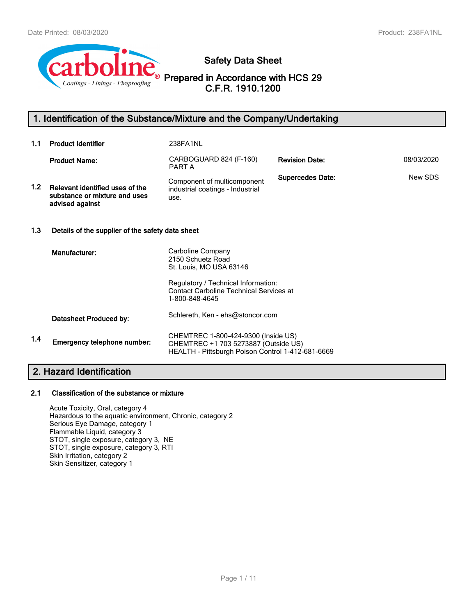

**Safety Data Sheet**

**Prepared in Accordance with HCS 29 C.F.R. 1910.1200**

## **1. Identification of the Substance/Mixture and the Company/Undertaking**

| 1.1              | <b>Product Identifier</b>                                                           | 238FA1NL                                                                                                                         |                         |            |
|------------------|-------------------------------------------------------------------------------------|----------------------------------------------------------------------------------------------------------------------------------|-------------------------|------------|
|                  | <b>Product Name:</b>                                                                | CARBOGUARD 824 (F-160)<br>PART A                                                                                                 | <b>Revision Date:</b>   | 08/03/2020 |
| 1.2 <sub>1</sub> | Relevant identified uses of the<br>substance or mixture and uses<br>advised against | Component of multicomponent<br>industrial coatings - Industrial<br>use.                                                          | <b>Supercedes Date:</b> | New SDS    |
| 1.3              | Details of the supplier of the safety data sheet                                    |                                                                                                                                  |                         |            |
|                  | Manufacturer:                                                                       | Carboline Company<br>2150 Schuetz Road<br>St. Louis, MO USA 63146                                                                |                         |            |
|                  |                                                                                     | Regulatory / Technical Information:<br><b>Contact Carboline Technical Services at</b><br>1-800-848-4645                          |                         |            |
|                  | Datasheet Produced by:                                                              | Schlereth, Ken - ehs@stoncor.com                                                                                                 |                         |            |
| 1.4              | Emergency telephone number:                                                         | CHEMTREC 1-800-424-9300 (Inside US)<br>CHEMTREC +1 703 5273887 (Outside US)<br>HEALTH - Pittsburgh Poison Control 1-412-681-6669 |                         |            |
|                  | $\sim$ $\sim$<br>.                                                                  |                                                                                                                                  |                         |            |

## **2. Hazard Identification**

## **2.1 Classification of the substance or mixture**

Acute Toxicity, Oral, category 4 Hazardous to the aquatic environment, Chronic, category 2 Serious Eye Damage, category 1 Flammable Liquid, category 3 STOT, single exposure, category 3, NE STOT, single exposure, category 3, RTI Skin Irritation, category 2 Skin Sensitizer, category 1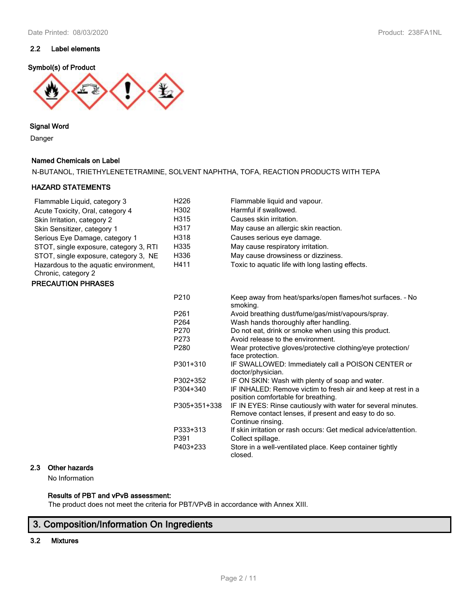### **2.2 Label elements**

### **Symbol(s) of Product**



### **Signal Word**

Danger

### **Named Chemicals on Label**

N-BUTANOL, TRIETHYLENETETRAMINE, SOLVENT NAPHTHA, TOFA, REACTION PRODUCTS WITH TEPA

### **HAZARD STATEMENTS**

| Flammable Liquid, category 3                                 | H <sub>226</sub> | Flammable liquid and vapour.                                                                                                              |
|--------------------------------------------------------------|------------------|-------------------------------------------------------------------------------------------------------------------------------------------|
| Acute Toxicity, Oral, category 4                             | H302             | Harmful if swallowed.                                                                                                                     |
| Skin Irritation, category 2                                  | H315             | Causes skin irritation.                                                                                                                   |
| Skin Sensitizer, category 1                                  | H317             | May cause an allergic skin reaction.                                                                                                      |
| Serious Eye Damage, category 1                               | H318             | Causes serious eye damage.                                                                                                                |
| STOT, single exposure, category 3, RTI                       | H335             | May cause respiratory irritation.                                                                                                         |
| STOT, single exposure, category 3, NE                        | H336             | May cause drowsiness or dizziness.                                                                                                        |
| Hazardous to the aquatic environment,<br>Chronic, category 2 | H411             | Toxic to aquatic life with long lasting effects.                                                                                          |
| <b>PRECAUTION PHRASES</b>                                    |                  |                                                                                                                                           |
|                                                              | P210             | Keep away from heat/sparks/open flames/hot surfaces. - No<br>smoking.                                                                     |
|                                                              | P261             | Avoid breathing dust/fume/gas/mist/vapours/spray.                                                                                         |
|                                                              | P <sub>264</sub> | Wash hands thoroughly after handling.                                                                                                     |
|                                                              | P270             | Do not eat, drink or smoke when using this product.                                                                                       |
|                                                              | P273             | Avoid release to the environment.                                                                                                         |
|                                                              | P280             | Wear protective gloves/protective clothing/eye protection/<br>face protection.                                                            |
|                                                              | P301+310         | IF SWALLOWED: Immediately call a POISON CENTER or<br>doctor/physician.                                                                    |
|                                                              | P302+352         | IF ON SKIN: Wash with plenty of soap and water.                                                                                           |
|                                                              | P304+340         | IF INHALED: Remove victim to fresh air and keep at rest in a<br>position comfortable for breathing.                                       |
|                                                              | P305+351+338     | IF IN EYES: Rinse cautiously with water for several minutes.<br>Remove contact lenses, if present and easy to do so.<br>Continue rinsing. |
|                                                              | P333+313         | If skin irritation or rash occurs: Get medical advice/attention.                                                                          |
|                                                              | P391             | Collect spillage.                                                                                                                         |
|                                                              | P403+233         | Store in a well-ventilated place. Keep container tightly<br>closed.                                                                       |

### **2.3 Other hazards**

No Information

## **Results of PBT and vPvB assessment:**

The product does not meet the criteria for PBT/VPvB in accordance with Annex XIII.

## **3. Composition/Information On Ingredients**

## **3.2 Mixtures**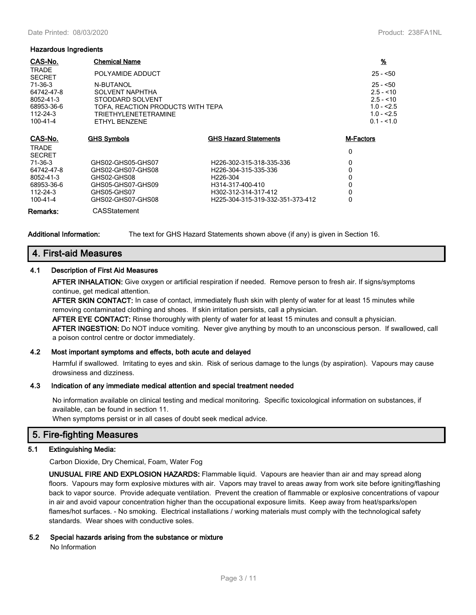#### **Hazardous Ingredients**

| CAS-No.                                                                    | <b>Chemical Name</b>                                                                                                                  |                                  | $\frac{9}{6}$                                                                      |
|----------------------------------------------------------------------------|---------------------------------------------------------------------------------------------------------------------------------------|----------------------------------|------------------------------------------------------------------------------------|
| <b>TRADE</b><br><b>SECRET</b>                                              | POLYAMIDE ADDUCT                                                                                                                      |                                  | $25 - 50$                                                                          |
| $71-36-3$<br>64742-47-8<br>8052-41-3<br>68953-36-6<br>112-24-3<br>100-41-4 | N-BUTANOL<br><b>SOLVENT NAPHTHA</b><br>STODDARD SOLVENT<br>TOFA. REACTION PRODUCTS WITH TEPA<br>TRIETHYLENETETRAMINE<br>ETHYL BENZENE |                                  | $25 - 50$<br>$2.5 - 10$<br>$2.5 - 10$<br>$1.0 - 2.5$<br>$1.0 - 2.5$<br>$0.1 - 1.0$ |
| CAS-No.                                                                    | <b>GHS Symbols</b>                                                                                                                    | <b>GHS Hazard Statements</b>     | M-Factors                                                                          |
| <b>TRADE</b><br><b>SECRET</b>                                              |                                                                                                                                       |                                  | 0                                                                                  |
| $71-36-3$                                                                  | GHS02-GHS05-GHS07                                                                                                                     | H226-302-315-318-335-336         | 0                                                                                  |
| 64742-47-8                                                                 | GHS02-GHS07-GHS08                                                                                                                     | H226-304-315-335-336             | 0                                                                                  |
| 8052-41-3                                                                  | GHS02-GHS08                                                                                                                           | H226-304                         | 0                                                                                  |
| 68953-36-6                                                                 | GHS05-GHS07-GHS09                                                                                                                     | H314-317-400-410                 | 0                                                                                  |
| 112-24-3                                                                   | GHS05-GHS07                                                                                                                           | H302-312-314-317-412             | 0                                                                                  |
| 100-41-4                                                                   | GHS02-GHS07-GHS08                                                                                                                     | H225-304-315-319-332-351-373-412 | 0                                                                                  |
| Remarks:                                                                   | CASStatement                                                                                                                          |                                  |                                                                                    |

**Additional Information:** The text for GHS Hazard Statements shown above (if any) is given in Section 16.

## **4. First-aid Measures**

#### **4.1 Description of First Aid Measures**

**AFTER INHALATION:** Give oxygen or artificial respiration if needed. Remove person to fresh air. If signs/symptoms continue, get medical attention.

**AFTER SKIN CONTACT:** In case of contact, immediately flush skin with plenty of water for at least 15 minutes while removing contaminated clothing and shoes. If skin irritation persists, call a physician.

**AFTER EYE CONTACT:** Rinse thoroughly with plenty of water for at least 15 minutes and consult a physician. **AFTER INGESTION:** Do NOT induce vomiting. Never give anything by mouth to an unconscious person. If swallowed, call a poison control centre or doctor immediately.

### **4.2 Most important symptoms and effects, both acute and delayed**

Harmful if swallowed. Irritating to eyes and skin. Risk of serious damage to the lungs (by aspiration). Vapours may cause drowsiness and dizziness.

#### **4.3 Indication of any immediate medical attention and special treatment needed**

No information available on clinical testing and medical monitoring. Specific toxicological information on substances, if available, can be found in section 11.

When symptoms persist or in all cases of doubt seek medical advice.

## **5. Fire-fighting Measures**

### **5.1 Extinguishing Media:**

Carbon Dioxide, Dry Chemical, Foam, Water Fog

**UNUSUAL FIRE AND EXPLOSION HAZARDS:** Flammable liquid. Vapours are heavier than air and may spread along floors. Vapours may form explosive mixtures with air. Vapors may travel to areas away from work site before igniting/flashing back to vapor source. Provide adequate ventilation. Prevent the creation of flammable or explosive concentrations of vapour in air and avoid vapour concentration higher than the occupational exposure limits. Keep away from heat/sparks/open flames/hot surfaces. - No smoking. Electrical installations / working materials must comply with the technological safety standards. Wear shoes with conductive soles.

### **5.2 Special hazards arising from the substance or mixture**

No Information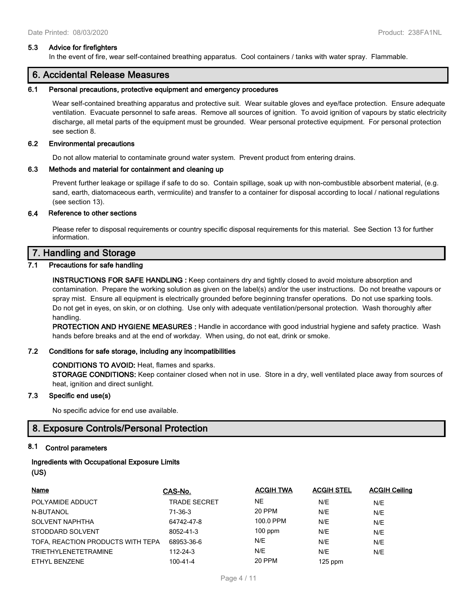#### **5.3 Advice for firefighters**

In the event of fire, wear self-contained breathing apparatus. Cool containers / tanks with water spray. Flammable.

## **6. Accidental Release Measures**

### **6.1 Personal precautions, protective equipment and emergency procedures**

Wear self-contained breathing apparatus and protective suit. Wear suitable gloves and eye/face protection. Ensure adequate ventilation. Evacuate personnel to safe areas. Remove all sources of ignition. To avoid ignition of vapours by static electricity discharge, all metal parts of the equipment must be grounded. Wear personal protective equipment. For personal protection see section 8.

#### **6.2 Environmental precautions**

Do not allow material to contaminate ground water system. Prevent product from entering drains.

#### **6.3 Methods and material for containment and cleaning up**

Prevent further leakage or spillage if safe to do so. Contain spillage, soak up with non-combustible absorbent material, (e.g. sand, earth, diatomaceous earth, vermiculite) and transfer to a container for disposal according to local / national regulations (see section 13).

#### **6.4 Reference to other sections**

Please refer to disposal requirements or country specific disposal requirements for this material. See Section 13 for further information.

### **7. Handling and Storage**

#### **7.1 Precautions for safe handling**

**INSTRUCTIONS FOR SAFE HANDLING :** Keep containers dry and tightly closed to avoid moisture absorption and contamination. Prepare the working solution as given on the label(s) and/or the user instructions. Do not breathe vapours or spray mist. Ensure all equipment is electrically grounded before beginning transfer operations. Do not use sparking tools. Do not get in eyes, on skin, or on clothing. Use only with adequate ventilation/personal protection. Wash thoroughly after handling.

**PROTECTION AND HYGIENE MEASURES :** Handle in accordance with good industrial hygiene and safety practice. Wash hands before breaks and at the end of workday. When using, do not eat, drink or smoke.

### **7.2 Conditions for safe storage, including any incompatibilities**

#### **CONDITIONS TO AVOID:** Heat, flames and sparks.

**STORAGE CONDITIONS:** Keep container closed when not in use. Store in a dry, well ventilated place away from sources of heat, ignition and direct sunlight.

### **7.3 Specific end use(s)**

No specific advice for end use available.

### **8. Exposure Controls/Personal Protection**

### **8.1 Control parameters**

### **Ingredients with Occupational Exposure Limits**

**(US)**

| <b>Name</b>                       | CAS-No.             | <b>ACGIH TWA</b> | <b>ACGIH STEL</b> | <b>ACGIH Ceiling</b> |
|-----------------------------------|---------------------|------------------|-------------------|----------------------|
| POLYAMIDE ADDUCT                  | <b>TRADE SECRET</b> | NE               | N/E               | N/E                  |
| N-BUTANOL                         | 71-36-3             | 20 PPM           | N/E               | N/E                  |
| <b>SOLVENT NAPHTHA</b>            | 64742-47-8          | 100.0 PPM        | N/E               | N/E                  |
| STODDARD SOLVENT                  | 8052-41-3           | $100$ ppm        | N/E               | N/E                  |
| TOFA, REACTION PRODUCTS WITH TEPA | 68953-36-6          | N/E              | N/E               | N/E                  |
| <b>TRIETHYLENETETRAMINE</b>       | 112-24-3            | N/E              | N/E               | N/E                  |
| ETHYL BENZENE                     | $100 - 41 - 4$      | 20 PPM           | $125$ ppm         |                      |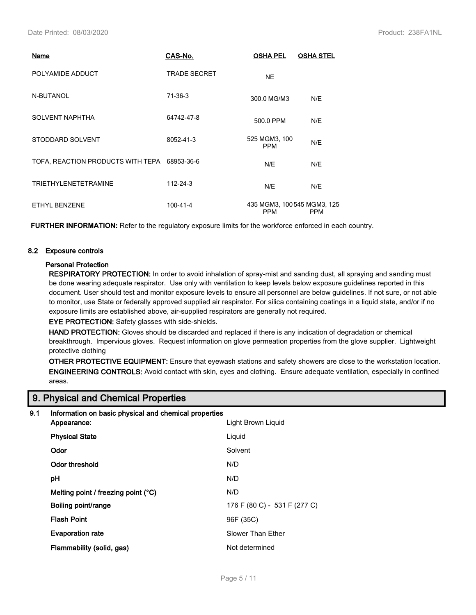| Name                                         | CAS-No.             | <b>OSHA PEL</b>                           | <b>OSHA STEL</b> |
|----------------------------------------------|---------------------|-------------------------------------------|------------------|
| POLYAMIDE ADDUCT                             | <b>TRADE SECRET</b> | <b>NE</b>                                 |                  |
| N-BUTANOL                                    | 71-36-3             | 300.0 MG/M3                               | N/E              |
| <b>SOLVENT NAPHTHA</b>                       | 64742-47-8          | 500.0 PPM                                 | N/E              |
| STODDARD SOLVENT                             | 8052-41-3           | 525 MGM3, 100<br><b>PPM</b>               | N/E              |
| TOFA, REACTION PRODUCTS WITH TEPA 68953-36-6 |                     | N/E                                       | N/E              |
| <b>TRIETHYLENETETRAMINE</b>                  | 112-24-3            | N/E                                       | N/E              |
| ETHYL BENZENE                                | $100 - 41 - 4$      | 435 MGM3, 100 545 MGM3, 125<br><b>PPM</b> | <b>PPM</b>       |

**FURTHER INFORMATION:** Refer to the regulatory exposure limits for the workforce enforced in each country.

### **8.2 Exposure controls**

### **Personal Protection**

**RESPIRATORY PROTECTION:** In order to avoid inhalation of spray-mist and sanding dust, all spraying and sanding must be done wearing adequate respirator. Use only with ventilation to keep levels below exposure guidelines reported in this document. User should test and monitor exposure levels to ensure all personnel are below guidelines. If not sure, or not able to monitor, use State or federally approved supplied air respirator. For silica containing coatings in a liquid state, and/or if no exposure limits are established above, air-supplied respirators are generally not required.

**EYE PROTECTION:** Safety glasses with side-shields.

**HAND PROTECTION:** Gloves should be discarded and replaced if there is any indication of degradation or chemical breakthrough. Impervious gloves. Request information on glove permeation properties from the glove supplier. Lightweight protective clothing

**OTHER PROTECTIVE EQUIPMENT:** Ensure that eyewash stations and safety showers are close to the workstation location. **ENGINEERING CONTROLS:** Avoid contact with skin, eyes and clothing. Ensure adequate ventilation, especially in confined areas.

## **9. Physical and Chemical Properties**

### **9.1 Information on basic physical and chemical properties**

| Appearance:                                  | Light Brown Liguid           |
|----------------------------------------------|------------------------------|
| <b>Physical State</b>                        | Liquid                       |
| Odor                                         | Solvent                      |
| Odor threshold                               | N/D                          |
| рH                                           | N/D                          |
| Melting point / freezing point $(^{\circ}C)$ | N/D                          |
| Boiling point/range                          | 176 F (80 C) - 531 F (277 C) |
| <b>Flash Point</b>                           | 96F (35C)                    |
| <b>Evaporation rate</b>                      | Slower Than Ether            |
| Flammability (solid, gas)                    | Not determined               |
|                                              |                              |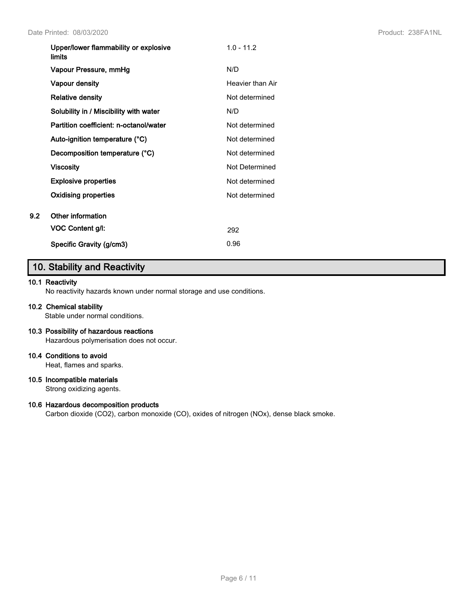| Upper/lower flammability or explosive<br><b>limits</b> | $1.0 - 11.2$     |
|--------------------------------------------------------|------------------|
| Vapour Pressure, mmHg                                  | N/D              |
| Vapour density                                         | Heavier than Air |
| <b>Relative density</b>                                | Not determined   |
| Solubility in / Miscibility with water                 | N/D              |
| Partition coefficient: n-octanol/water                 | Not determined   |
| Auto-ignition temperature (°C)                         | Not determined   |
| Decomposition temperature (°C)                         | Not determined   |
| <b>Viscosity</b>                                       | Not Determined   |
| <b>Explosive properties</b>                            | Not determined   |
| Oxidising properties                                   | Not determined   |
| Other information                                      |                  |
| VOC Content g/l:                                       | 292              |
| Specific Gravity (g/cm3)                               | 0.96             |

## **10. Stability and Reactivity**

### **10.1 Reactivity**

**9.2 Other information**

No reactivity hazards known under normal storage and use conditions.

### **10.2 Chemical stability**

Stable under normal conditions.

### **10.3 Possibility of hazardous reactions**

Hazardous polymerisation does not occur.

#### **10.4 Conditions to avoid**

Heat, flames and sparks.

### **10.5 Incompatible materials**

Strong oxidizing agents.

### **10.6 Hazardous decomposition products**

Carbon dioxide (CO2), carbon monoxide (CO), oxides of nitrogen (NOx), dense black smoke.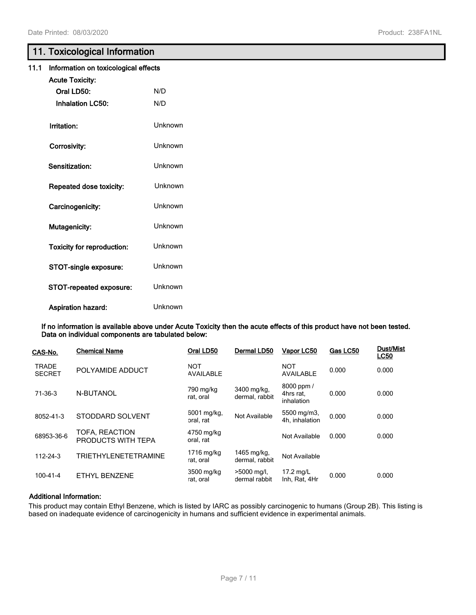## **11. Toxicological Information**

| 11.1 | Information on toxicological effects |         |
|------|--------------------------------------|---------|
|      | <b>Acute Toxicity:</b>               |         |
|      | Oral LD50:                           | N/D     |
|      | <b>Inhalation LC50:</b>              | N/D     |
|      | Irritation:                          | Unknown |
|      | Corrosivity:                         | Unknown |
|      | Sensitization:                       | Unknown |
|      | Repeated dose toxicity:              | Unknown |
|      | Carcinogenicity:                     | Unknown |
|      | Mutagenicity:                        | Unknown |
|      | <b>Toxicity for reproduction:</b>    | Unknown |
|      | STOT-single exposure:                | Unknown |
|      | STOT-repeated exposure:              | Unknown |
|      | Aspiration hazard:                   | Unknown |

**If no information is available above under Acute Toxicity then the acute effects of this product have not been tested. Data on individual components are tabulated below:**

| CAS-No.                       | <b>Chemical Name</b>                 | Oral LD50                      | Dermal LD50                    | Vapor LC50                            | Gas LC50 | <b>Dust/Mist</b><br><b>LC50</b> |
|-------------------------------|--------------------------------------|--------------------------------|--------------------------------|---------------------------------------|----------|---------------------------------|
| <b>TRADE</b><br><b>SECRET</b> | POLYAMIDE ADDUCT                     | <b>NOT</b><br><b>AVAILABLE</b> |                                | <b>NOT</b><br><b>AVAILABLE</b>        | 0.000    | 0.000                           |
| $71-36-3$                     | N-BUTANOL                            | 790 mg/kg<br>rat, oral         | 3400 mg/kg,<br>dermal, rabbit  | 8000 ppm /<br>4hrs rat.<br>inhalation | 0.000    | 0.000                           |
| 8052-41-3                     | STODDARD SOLVENT                     | 6001 mg/kg,<br>oral, rat       | Not Available                  | 5500 mg/m3,<br>4h. inhalation         | 0.000    | 0.000                           |
| 68953-36-6                    | TOFA, REACTION<br>PRODUCTS WITH TEPA | 4750 mg/kg<br>oral, rat        |                                | Not Available                         | 0.000    | 0.000                           |
| $112 - 24 - 3$                | <b>TRIETHYLENETETRAMINE</b>          | 1716 mg/kg<br>rat, oral        | 1465 mg/kg,<br>dermal, rabbit  | Not Available                         |          |                                 |
| $100 - 41 - 4$                | ETHYL BENZENE                        | 3500 mg/kg<br>rat, oral        | $>5000$ mg/l,<br>dermal rabbit | 17.2 mg/L<br>Inh, Rat, 4Hr            | 0.000    | 0.000                           |

## **Additional Information:**

This product may contain Ethyl Benzene, which is listed by IARC as possibly carcinogenic to humans (Group 2B). This listing is based on inadequate evidence of carcinogenicity in humans and sufficient evidence in experimental animals.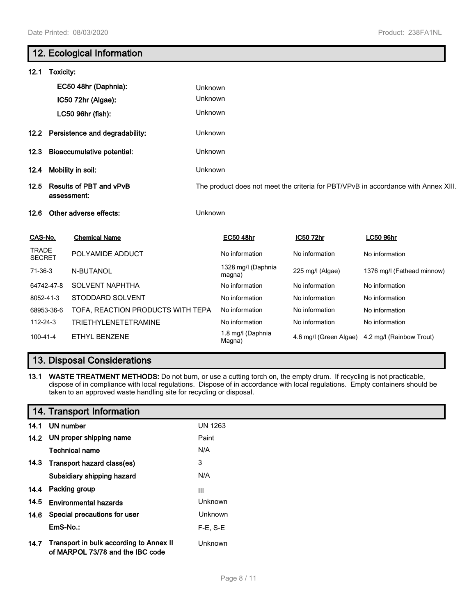# **12. Ecological Information 12.1 Toxicity: EC50 48hr (Daphnia):** Unknown **IC50 72hr (Algae):** Unknown **LC50 96hr (fish):** Unknown **12.2 Persistence and degradability:** Unknown **12.3 Bioaccumulative potential:** Unknown **12.4 Mobility in soil:** Unknown **12.5 Results of PBT and vPvB assessment:** The product does not meet the criteria for PBT/VPvB in accordance with Annex XIII. **12.6 Other adverse effects:** Unknown **CAS-No. Chemical Name EC50 48hr IC50 72hr LC50 96hr TRADE** I RADE POLYAMIDE ADDUCT No information No information No information No information 71-36-3 N-BUTANOL 1328 mg/l (Daphnia<br>
magna) 225 mg/l (Algae) 1376 mg/l (Fathead minnow) 64742-47-8 SOLVENT NAPHTHA No information No information No information No information 8052-41-3 STODDARD SOLVENT No information No information No information

### 112-24-3 TRIETHYLENETETRAMINE No information No information No information 100-41-4 ETHYL BENZENE 1.8 mg/l (Daphnia<br>
Magna) 4.6 mg/l (Green Algae) 4.2 mg/l (Rainbow Trout)

## **13. Disposal Considerations**

**13.1 WASTE TREATMENT METHODS:** Do not burn, or use a cutting torch on, the empty drum. If recycling is not practicable, dispose of in compliance with local regulations. Dispose of in accordance with local regulations. Empty containers should be taken to an approved waste handling site for recycling or disposal.

68953-36-6 TOFA, REACTION PRODUCTS WITH TEPA No information No information No information

## **14. Transport Information**

|      | 14.1 UN number                                                              | <b>UN 1263</b> |
|------|-----------------------------------------------------------------------------|----------------|
|      | 14.2 UN proper shipping name                                                | Paint          |
|      | Technical name                                                              | N/A            |
|      | 14.3 Transport hazard class(es)                                             | 3              |
|      | Subsidiary shipping hazard                                                  | N/A            |
| 14.4 | Packing group                                                               | Ш              |
| 14.5 | <b>Environmental hazards</b>                                                | Unknown        |
| 14.6 | Special precautions for user                                                | Unknown        |
|      | EmS-No.:                                                                    | F-E. S-E       |
| 14.7 | Transport in bulk according to Annex II<br>of MARPOL 73/78 and the IBC code | Unknown        |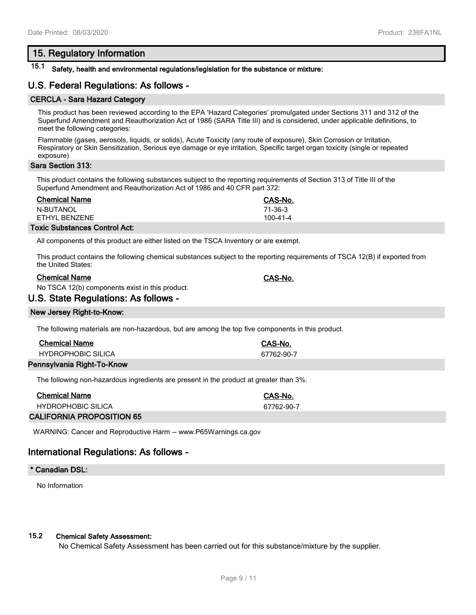## **15. Regulatory Information**

## **15.1 Safety, health and environmental regulations/legislation for the substance or mixture:**

## **U.S. Federal Regulations: As follows -**

### **CERCLA - Sara Hazard Category**

This product has been reviewed according to the EPA 'Hazard Categories' promulgated under Sections 311 and 312 of the Superfund Amendment and Reauthorization Act of 1986 (SARA Title III) and is considered, under applicable definitions, to meet the following categories:

Flammable (gases, aerosols, liquids, or solids), Acute Toxicity (any route of exposure), Skin Corrosion or Irritation, Respiratory or Skin Sensitization, Serious eye damage or eye irritation, Specific target organ toxicity (single or repeated exposure)

### **Sara Section 313:**

This product contains the following substances subject to the reporting requirements of Section 313 of Title III of the Superfund Amendment and Reauthorization Act of 1986 and 40 CFR part 372:

| <b>Chemical Name</b> | CAS-No.  |
|----------------------|----------|
| N-BUTANOL            | 71-36-3  |
| FTHYL BENZENE        | 100-41-4 |

#### **Toxic Substances Control Act:**

All components of this product are either listed on the TSCA Inventory or are exempt.

This product contains the following chemical substances subject to the reporting requirements of TSCA 12(B) if exported from the United States:

### **Chemical Name CAS-No.**

No TSCA 12(b) components exist in this product.

### **U.S. State Regulations: As follows -**

### **New Jersey Right-to-Know:**

The following materials are non-hazardous, but are among the top five components in this product.

| <b>Chemical Name</b>       | CAS-No.    |
|----------------------------|------------|
| <b>HYDROPHOBIC SILICA</b>  | 67762-90-7 |
| Pennsylvania Right-To-Know |            |

The following non-hazardous ingredients are present in the product at greater than 3%.

| <b>Chemical Name</b> | CAS-No.    |
|----------------------|------------|
| HYDROPHOBIC SILICA   | 67762-90-7 |
|                      |            |

### **CALIFORNIA PROPOSITION 65**

WARNING: Cancer and Reproductive Harm -- www.P65Warnings.ca.gov

## **International Regulations: As follows -**

### **\* Canadian DSL:**

No Information

### **15.2 Chemical Safety Assessment:**

No Chemical Safety Assessment has been carried out for this substance/mixture by the supplier.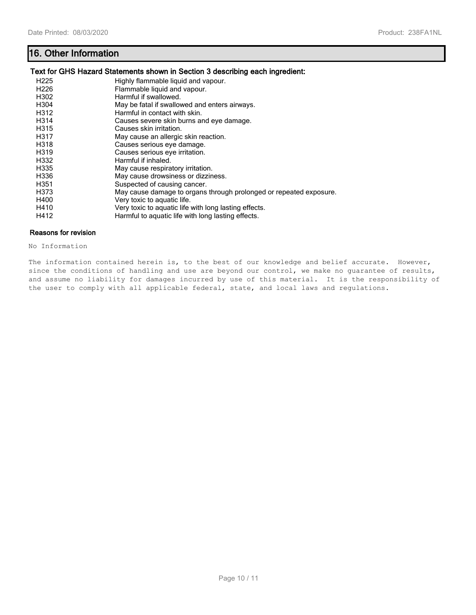## **16. Other Information**

### **Text for GHS Hazard Statements shown in Section 3 describing each ingredient:**

| H <sub>225</sub> | Highly flammable liquid and vapour.                                |
|------------------|--------------------------------------------------------------------|
| H <sub>226</sub> | Flammable liquid and vapour.                                       |
| H302             | Harmful if swallowed.                                              |
| H304             | May be fatal if swallowed and enters airways.                      |
| H312             | Harmful in contact with skin.                                      |
| H314             | Causes severe skin burns and eye damage.                           |
| H315             | Causes skin irritation.                                            |
| H317             | May cause an allergic skin reaction.                               |
| H318             | Causes serious eye damage.                                         |
| H319             | Causes serious eye irritation.                                     |
| H332             | Harmful if inhaled.                                                |
| H335             | May cause respiratory irritation.                                  |
| H336             | May cause drowsiness or dizziness.                                 |
| H351             | Suspected of causing cancer.                                       |
| H373             | May cause damage to organs through prolonged or repeated exposure. |
| H400             | Very toxic to aquatic life.                                        |
| H410             | Very toxic to aquatic life with long lasting effects.              |
| H412             | Harmful to aquatic life with long lasting effects.                 |

## **Reasons for revision**

No Information

The information contained herein is, to the best of our knowledge and belief accurate. However, since the conditions of handling and use are beyond our control, we make no guarantee of results, and assume no liability for damages incurred by use of this material. It is the responsibility of the user to comply with all applicable federal, state, and local laws and regulations.